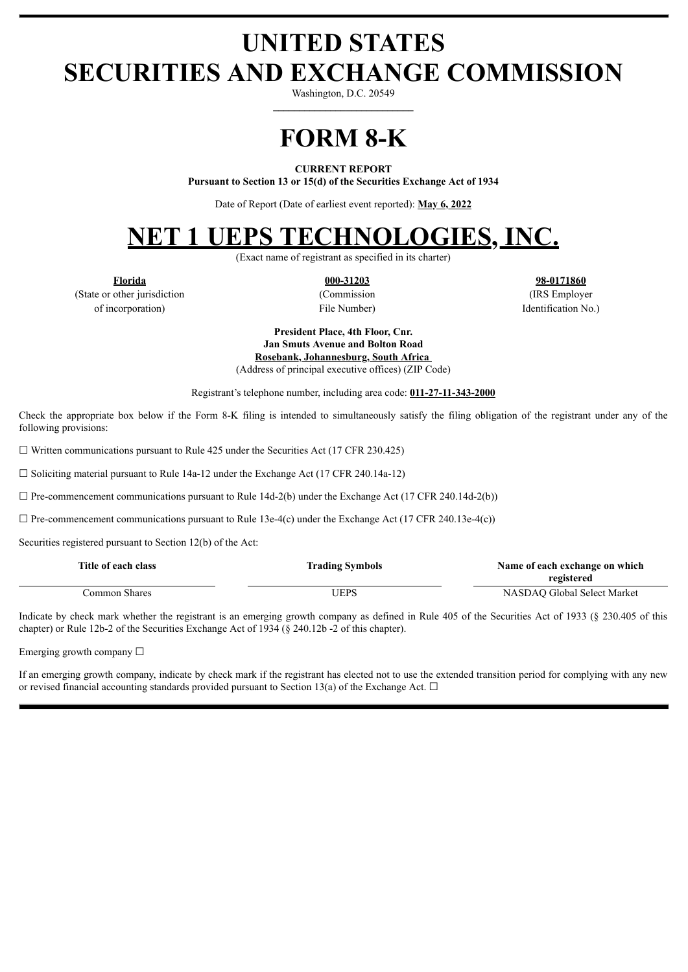# **UNITED STATES SECURITIES AND EXCHANGE COMMISSION**

Washington, D.C. 20549 **\_\_\_\_\_\_\_\_\_\_\_\_\_\_\_\_\_\_\_\_\_\_\_\_\_\_\_**

**FORM 8-K**

#### **CURRENT REPORT**

**Pursuant to Section 13 or 15(d) of the Securities Exchange Act of 1934**

Date of Report (Date of earliest event reported): **May 6, 2022**

## **NET 1 UEPS TECHNOLOGIES, INC.**

(Exact name of registrant as specified in its charter)

(State or other jurisdiction (Commission (IRS Employer of incorporation) File Number) File Number and The Identification No.)

**Florida 000-31203 98-0171860**

**President Place, 4th Floor, Cnr. Jan Smuts Avenue and Bolton Road Rosebank, Johannesburg, South Africa** (Address of principal executive offices) (ZIP Code)

Registrant's telephone number, including area code: **011-27-11-343-2000**

Check the appropriate box below if the Form 8-K filing is intended to simultaneously satisfy the filing obligation of the registrant under any of the following provisions:

 $\Box$  Written communications pursuant to Rule 425 under the Securities Act (17 CFR 230.425)

 $\Box$  Soliciting material pursuant to Rule 14a-12 under the Exchange Act (17 CFR 240.14a-12)

 $\Box$  Pre-commencement communications pursuant to Rule 14d-2(b) under the Exchange Act (17 CFR 240.14d-2(b))

 $\Box$  Pre-commencement communications pursuant to Rule 13e-4(c) under the Exchange Act (17 CFR 240.13e-4(c))

Securities registered pursuant to Section 12(b) of the Act:

| Title of each class | <b>Trading Symbols</b> | Name of each exchange on which |
|---------------------|------------------------|--------------------------------|
|                     |                        | registered                     |
| Common Shares .     | UEPS                   | NASDAO Global Select Market    |

Indicate by check mark whether the registrant is an emerging growth company as defined in Rule 405 of the Securities Act of 1933 (§ 230.405 of this chapter) or Rule 12b-2 of the Securities Exchange Act of 1934 (§ 240.12b -2 of this chapter).

Emerging growth company  $\Box$ 

If an emerging growth company, indicate by check mark if the registrant has elected not to use the extended transition period for complying with any new or revised financial accounting standards provided pursuant to Section 13(a) of the Exchange Act.  $\Box$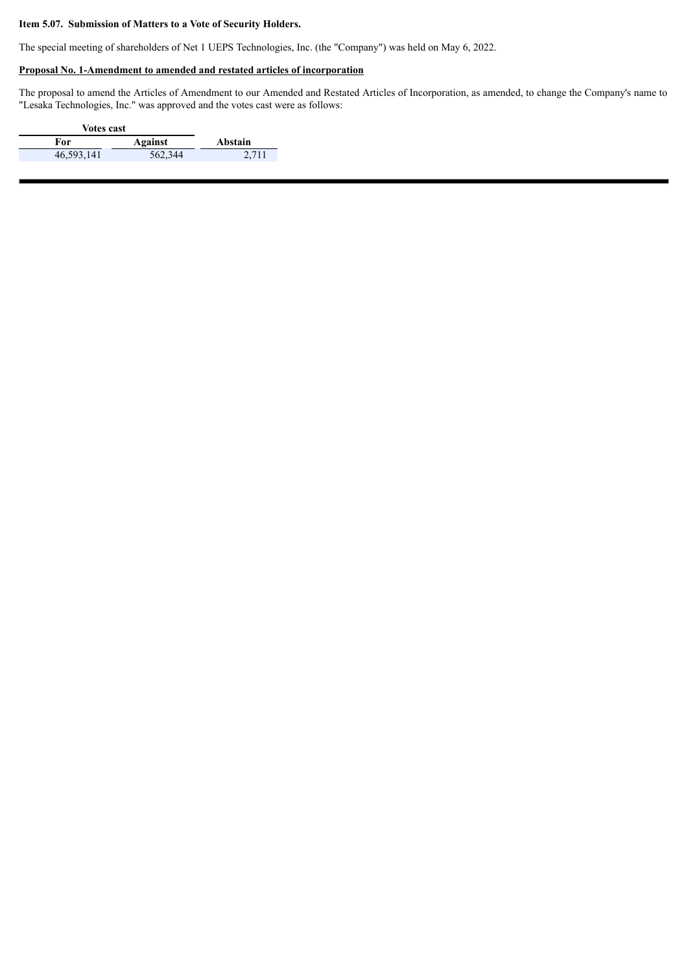#### **Item 5.07. Submission of Matters to a Vote of Security Holders.**

The special meeting of shareholders of Net 1 UEPS Technologies, Inc. (the "Company") was held on May 6, 2022.

### **Proposal No. 1-Amendment to amended and restated articles of incorporation**

The proposal to amend the Articles of Amendment to our Amended and Restated Articles of Incorporation, as amended, to change the Company's name to "Lesaka Technologies, Inc." was approved and the votes cast were as follows:

| <b>Votes cast</b> |         |         |
|-------------------|---------|---------|
| For               | Against | Abstain |
| 46,593,141        | 562,344 | 2,711   |